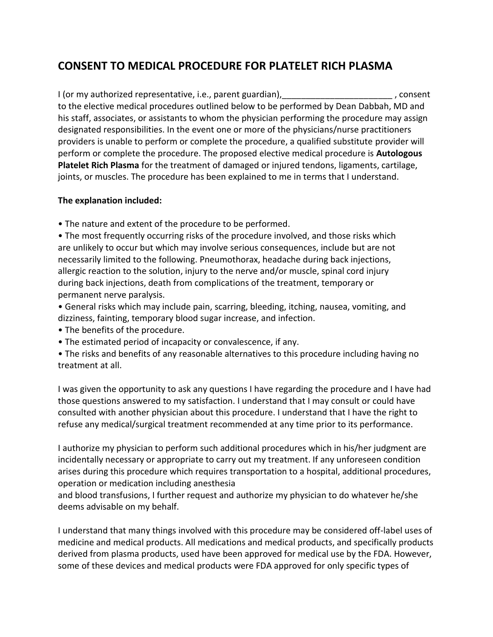## **CONSENT TO MEDICAL PROCEDURE FOR PLATELET RICH PLASMA**

I (or my authorized representative, i.e., parent guardian), 1.1 and 1.1 and 1.2 and 1.1 consent to the elective medical procedures outlined below to be performed by Dean Dabbah, MD and his staff, associates, or assistants to whom the physician performing the procedure may assign designated responsibilities. In the event one or more of the physicians/nurse practitioners providers is unable to perform or complete the procedure, a qualified substitute provider will perform or complete the procedure. The proposed elective medical procedure is **Autologous Platelet Rich Plasma** for the treatment of damaged or injured tendons, ligaments, cartilage, joints, or muscles. The procedure has been explained to me in terms that I understand.

## **The explanation included:**

• The nature and extent of the procedure to be performed.

• The most frequently occurring risks of the procedure involved, and those risks which are unlikely to occur but which may involve serious consequences, include but are not necessarily limited to the following. Pneumothorax, headache during back injections, allergic reaction to the solution, injury to the nerve and/or muscle, spinal cord injury during back injections, death from complications of the treatment, temporary or permanent nerve paralysis.

• General risks which may include pain, scarring, bleeding, itching, nausea, vomiting, and dizziness, fainting, temporary blood sugar increase, and infection.

- The benefits of the procedure.
- The estimated period of incapacity or convalescence, if any.

• The risks and benefits of any reasonable alternatives to this procedure including having no treatment at all.

I was given the opportunity to ask any questions I have regarding the procedure and I have had those questions answered to my satisfaction. I understand that I may consult or could have consulted with another physician about this procedure. I understand that I have the right to refuse any medical/surgical treatment recommended at any time prior to its performance.

I authorize my physician to perform such additional procedures which in his/her judgment are incidentally necessary or appropriate to carry out my treatment. If any unforeseen condition arises during this procedure which requires transportation to a hospital, additional procedures, operation or medication including anesthesia

and blood transfusions, I further request and authorize my physician to do whatever he/she deems advisable on my behalf.

I understand that many things involved with this procedure may be considered off-label uses of medicine and medical products. All medications and medical products, and specifically products derived from plasma products, used have been approved for medical use by the FDA. However, some of these devices and medical products were FDA approved for only specific types of